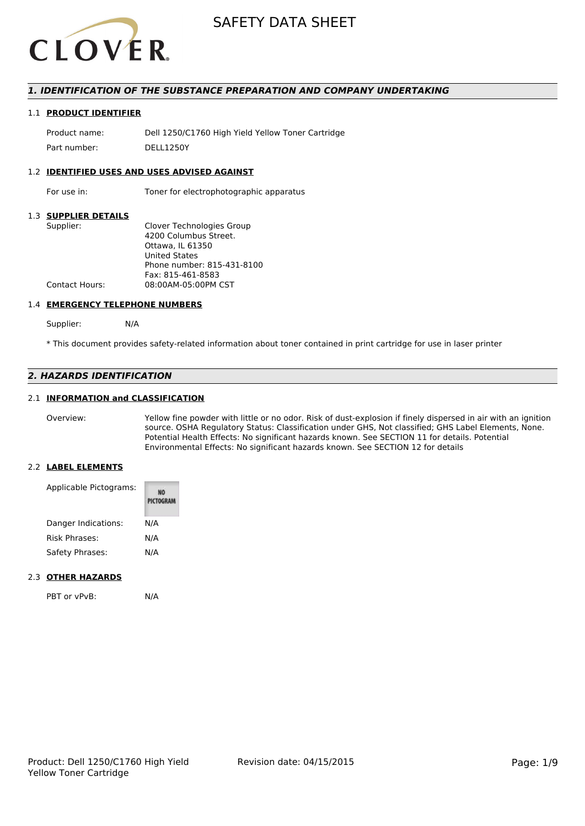

# *1. IDENTIFICATION OF THE SUBSTANCE PREPARATION AND COMPANY UNDERTAKING*

#### 1.1 **PRODUCT IDENTIFIER**

Product name: Dell 1250/C1760 High Yield Yellow Toner Cartridge Part number: DELL1250Y

#### 1.2 **IDENTIFIED USES AND USES ADVISED AGAINST**

For use in: Toner for electrophotographic apparatus

# 1.3 **SUPPLIER DETAILS**

| Supplier:             | Clover Technologies Group  |
|-----------------------|----------------------------|
|                       | 4200 Columbus Street.      |
|                       | Ottawa. IL 61350           |
|                       | <b>United States</b>       |
|                       | Phone number: 815-431-8100 |
|                       | Fax: 815-461-8583          |
| <b>Contact Hours:</b> | 08:00AM-05:00PM CST        |
|                       |                            |

#### 1.4 **EMERGENCY TELEPHONE NUMBERS**

Supplier: N/A

\* This document provides safety-related information about toner contained in print cartridge for use in laser printer

# *2. HAZARDS IDENTIFICATION*

## 2.1 **INFORMATION and CLASSIFICATION**

Overview: Yellow fine powder with little or no odor. Risk of dust-explosion if finely dispersed in air with an ignition source. OSHA Regulatory Status: Classification under GHS, Not classified; GHS Label Elements, None. Potential Health Effects: No significant hazards known. See SECTION 11 for details. Potential Environmental Effects: No significant hazards known. See SECTION 12 for details

#### 2.2 **LABEL ELEMENTS**

| Applicable Pictograms: | PICTOGRAM |
|------------------------|-----------|
| Danger Indications:    | N/A       |
| Risk Phrases:          | N/A       |
| Safety Phrases:        | N/A       |

#### 2.3 **OTHER HAZARDS**

PBT or vPvB: N/A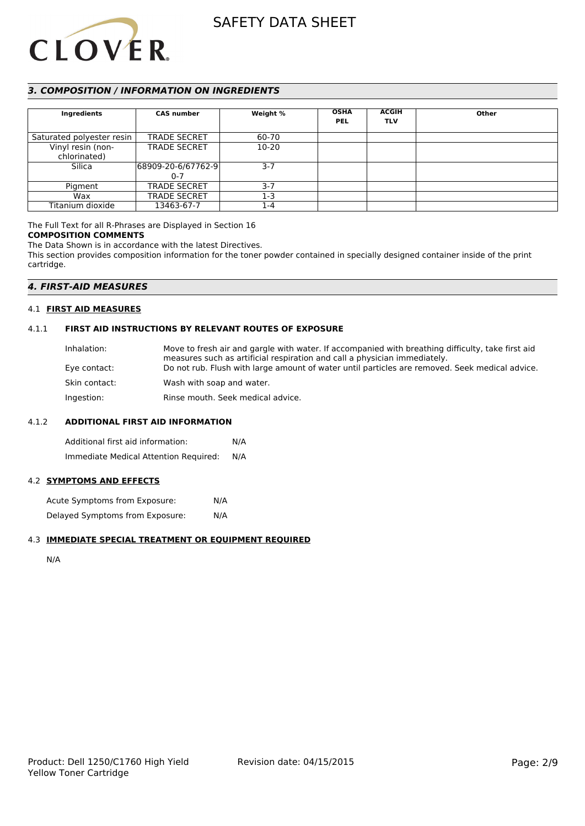

# *3. COMPOSITION / INFORMATION ON INGREDIENTS*

| Ingredients               | <b>CAS number</b>   | Weight %  | <b>OSHA</b> | <b>ACGIH</b> | Other |
|---------------------------|---------------------|-----------|-------------|--------------|-------|
|                           |                     |           | <b>PEL</b>  | <b>TLV</b>   |       |
|                           |                     |           |             |              |       |
| Saturated polyester resin | <b>TRADE SECRET</b> | 60-70     |             |              |       |
| Vinyl resin (non-         | <b>TRADE SECRET</b> | $10 - 20$ |             |              |       |
| chlorinated)              |                     |           |             |              |       |
| Silica                    | 68909-20-6/67762-9  | $3 - 7$   |             |              |       |
|                           | $0 - 7$             |           |             |              |       |
| Pigment                   | <b>TRADE SECRET</b> | $3 - 7$   |             |              |       |
| Wax                       | <b>TRADE SECRET</b> | 1-3       |             |              |       |
| Titanium dioxide          | 13463-67-7          | 1-4       |             |              |       |

## The Full Text for all R-Phrases are Displayed in Section 16

## **COMPOSITION COMMENTS**

The Data Shown is in accordance with the latest Directives. This section provides composition information for the toner powder contained in specially designed container inside of the print cartridge.

# *4. FIRST-AID MEASURES*

# 4.1 **FIRST AID MEASURES**

# 4.1.1 **FIRST AID INSTRUCTIONS BY RELEVANT ROUTES OF EXPOSURE**

| Inhalation:   | Move to fresh air and gargle with water. If accompanied with breathing difficulty, take first aid<br>measures such as artificial respiration and call a physician immediately. |
|---------------|--------------------------------------------------------------------------------------------------------------------------------------------------------------------------------|
| Eye contact:  | Do not rub. Flush with large amount of water until particles are removed. Seek medical advice.                                                                                 |
| Skin contact: | Wash with soap and water.                                                                                                                                                      |
| Ingestion:    | Rinse mouth. Seek medical advice.                                                                                                                                              |

#### 4.1.2 **ADDITIONAL FIRST AID INFORMATION**

Additional first aid information: N/A Immediate Medical Attention Required: N/A

#### 4.2 **SYMPTOMS AND EFFECTS**

Acute Symptoms from Exposure: N/A Delayed Symptoms from Exposure: N/A

#### 4.3 **IMMEDIATE SPECIAL TREATMENT OR EQUIPMENT REQUIRED**

N/A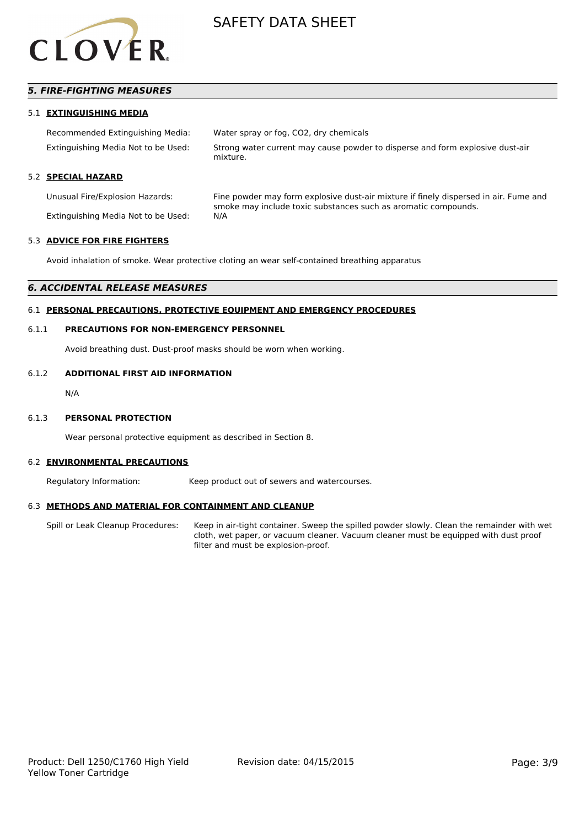

# *5. FIRE-FIGHTING MEASURES*

#### 5.1 **EXTINGUISHING MEDIA**

| Recommended Extinguishing Media:    | Water spray or fog, CO2, dry chemicals                                                    |
|-------------------------------------|-------------------------------------------------------------------------------------------|
| Extinguishing Media Not to be Used: | Strong water current may cause powder to disperse and form explosive dust-air<br>mixture. |

## 5.2 **SPECIAL HAZARD**

Unusual Fire/Explosion Hazards: Fine powder may form explosive dust-air mixture if finely dispersed in air. Fume and smoke may include toxic substances such as aromatic compounds. Extinguishing Media Not to be Used: N/A

#### 5.3 **ADVICE FOR FIRE FIGHTERS**

Avoid inhalation of smoke. Wear protective cloting an wear self-contained breathing apparatus

# *6. ACCIDENTAL RELEASE MEASURES*

# 6.1 **PERSONAL PRECAUTIONS, PROTECTIVE EQUIPMENT AND EMERGENCY PROCEDURES**

#### 6.1.1 **PRECAUTIONS FOR NON-EMERGENCY PERSONNEL**

Avoid breathing dust. Dust-proof masks should be worn when working.

#### 6.1.2 **ADDITIONAL FIRST AID INFORMATION**

N/A

#### 6.1.3 **PERSONAL PROTECTION**

Wear personal protective equipment as described in Section 8.

#### 6.2 **ENVIRONMENTAL PRECAUTIONS**

Regulatory Information: Keep product out of sewers and watercourses.

#### 6.3 **METHODS AND MATERIAL FOR CONTAINMENT AND CLEANUP**

Spill or Leak Cleanup Procedures: Keep in air-tight container. Sweep the spilled powder slowly. Clean the remainder with wet cloth, wet paper, or vacuum cleaner. Vacuum cleaner must be equipped with dust proof filter and must be explosion-proof.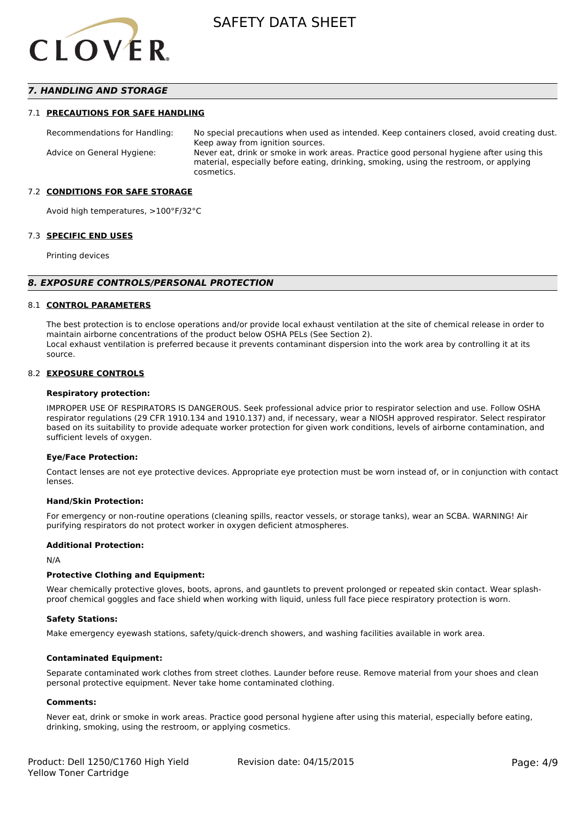

# *7. HANDLING AND STORAGE*

#### 7.1 **PRECAUTIONS FOR SAFE HANDLING**

Recommendations for Handling: No special precautions when used as intended. Keep containers closed, avoid creating dust. Keep away from ignition sources. Advice on General Hygiene: Never eat, drink or smoke in work areas. Practice good personal hygiene after using this material, especially before eating, drinking, smoking, using the restroom, or applying cosmetics.

#### 7.2 **CONDITIONS FOR SAFE STORAGE**

Avoid high temperatures, >100°F/32°C

#### 7.3 **SPECIFIC END USES**

Printing devices

#### *8. EXPOSURE CONTROLS/PERSONAL PROTECTION*

#### 8.1 **CONTROL PARAMETERS**

The best protection is to enclose operations and/or provide local exhaust ventilation at the site of chemical release in order to maintain airborne concentrations of the product below OSHA PELs (See Section 2). Local exhaust ventilation is preferred because it prevents contaminant dispersion into the work area by controlling it at its source.

#### 8.2 **EXPOSURE CONTROLS**

#### **Respiratory protection:**

IMPROPER USE OF RESPIRATORS IS DANGEROUS. Seek professional advice prior to respirator selection and use. Follow OSHA respirator regulations (29 CFR 1910.134 and 1910.137) and, if necessary, wear a NIOSH approved respirator. Select respirator based on its suitability to provide adequate worker protection for given work conditions, levels of airborne contamination, and sufficient levels of oxygen.

#### **Eye/Face Protection:**

Contact lenses are not eye protective devices. Appropriate eye protection must be worn instead of, or in conjunction with contact lenses.

#### **Hand/Skin Protection:**

For emergency or non-routine operations (cleaning spills, reactor vessels, or storage tanks), wear an SCBA. WARNING! Air purifying respirators do not protect worker in oxygen deficient atmospheres.

#### **Additional Protection:**

N/A

#### **Protective Clothing and Equipment:**

Wear chemically protective gloves, boots, aprons, and gauntlets to prevent prolonged or repeated skin contact. Wear splashproof chemical goggles and face shield when working with liquid, unless full face piece respiratory protection is worn.

#### **Safety Stations:**

Make emergency eyewash stations, safety/quick-drench showers, and washing facilities available in work area.

#### **Contaminated Equipment:**

Separate contaminated work clothes from street clothes. Launder before reuse. Remove material from your shoes and clean personal protective equipment. Never take home contaminated clothing.

#### **Comments:**

Never eat, drink or smoke in work areas. Practice good personal hygiene after using this material, especially before eating, drinking, smoking, using the restroom, or applying cosmetics.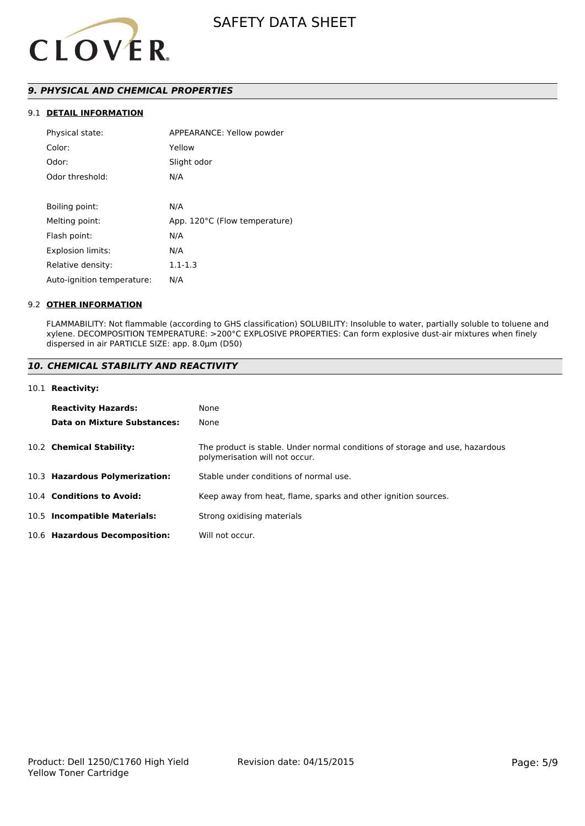

# *9. PHYSICAL AND CHEMICAL PROPERTIES*

# 9.1 **DETAIL INFORMATION**

| Physical state:            | APPEARANCE: Yellow powder     |
|----------------------------|-------------------------------|
| Color:                     | Yellow                        |
| Odor:                      | Slight odor                   |
| Odor threshold:            | N/A                           |
|                            |                               |
| Boiling point:             | N/A                           |
| Melting point:             | App. 120°C (Flow temperature) |
| Flash point:               | N/A                           |
| <b>Explosion limits:</b>   | N/A                           |
| Relative density:          | $1.1 - 1.3$                   |
| Auto-ignition temperature: | N/A                           |

#### 9.2 **OTHER INFORMATION**

FLAMMABILITY: Not flammable (according to GHS classification) SOLUBILITY: Insoluble to water, partially soluble to toluene and xylene. DECOMPOSITION TEMPERATURE: >200°C EXPLOSIVE PROPERTIES: Can form explosive dust-air mixtures when finely dispersed in air PARTICLE SIZE: app. 8.0µm (D50)

## *10. CHEMICAL STABILITY AND REACTIVITY*

#### 10.1 **Reactivity:**

| <b>Reactivity Hazards:</b>     | None                                                                                                           |
|--------------------------------|----------------------------------------------------------------------------------------------------------------|
| Data on Mixture Substances:    | None                                                                                                           |
| 10.2 Chemical Stability:       | The product is stable. Under normal conditions of storage and use, hazardous<br>polymerisation will not occur. |
| 10.3 Hazardous Polymerization: | Stable under conditions of normal use.                                                                         |
| 10.4 Conditions to Avoid:      | Keep away from heat, flame, sparks and other ignition sources.                                                 |
| 10.5 Incompatible Materials:   | Strong oxidising materials                                                                                     |
| 10.6 Hazardous Decomposition:  | Will not occur.                                                                                                |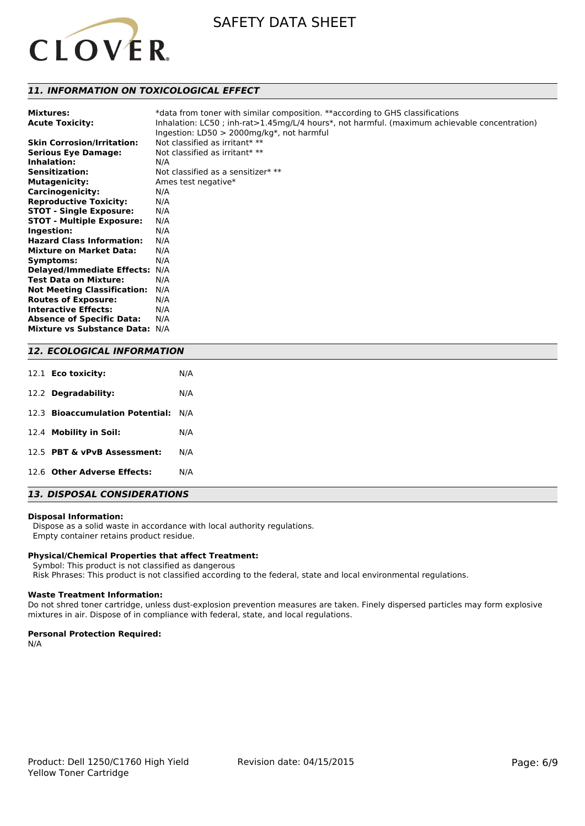

# *11. INFORMATION ON TOXICOLOGICAL EFFECT*

| <b>Mixtures:</b><br><b>Acute Toxicity:</b> | *data from toner with similar composition. **according to GHS classifications<br>Inhalation: LC50; inh-rat>1.45mg/L/4 hours*, not harmful. (maximum achievable concentration)<br>Ingestion: $LD50 > 2000$ mg/kg*, not harmful |
|--------------------------------------------|-------------------------------------------------------------------------------------------------------------------------------------------------------------------------------------------------------------------------------|
| <b>Skin Corrosion/Irritation:</b>          | Not classified as irritant* **                                                                                                                                                                                                |
| <b>Serious Eye Damage:</b>                 | Not classified as irritant* $**$                                                                                                                                                                                              |
| Inhalation:                                | N/A                                                                                                                                                                                                                           |
| <b>Sensitization:</b>                      | Not classified as a sensitizer $**$                                                                                                                                                                                           |
| <b>Mutagenicity:</b>                       | Ames test negative*                                                                                                                                                                                                           |
| <b>Carcinogenicity:</b>                    | N/A                                                                                                                                                                                                                           |
| <b>Reproductive Toxicity:</b>              | N/A                                                                                                                                                                                                                           |
| <b>STOT - Single Exposure:</b>             | N/A                                                                                                                                                                                                                           |
| <b>STOT - Multiple Exposure:</b>           | N/A                                                                                                                                                                                                                           |
| Ingestion:                                 | N/A                                                                                                                                                                                                                           |
| <b>Hazard Class Information:</b>           | N/A                                                                                                                                                                                                                           |
| <b>Mixture on Market Data:</b>             | N/A                                                                                                                                                                                                                           |
| Symptoms:                                  | N/A                                                                                                                                                                                                                           |
| <b>Delayed/Immediate Effects:</b>          | N/A                                                                                                                                                                                                                           |
| <b>Test Data on Mixture:</b>               | N/A                                                                                                                                                                                                                           |
| <b>Not Meeting Classification:</b>         | N/A                                                                                                                                                                                                                           |
| <b>Routes of Exposure:</b>                 | N/A                                                                                                                                                                                                                           |
| <b>Interactive Effects:</b>                | N/A                                                                                                                                                                                                                           |
| <b>Absence of Specific Data:</b>           | N/A                                                                                                                                                                                                                           |
| Mixture vs Substance Data: N/A             |                                                                                                                                                                                                                               |

# *12. ECOLOGICAL INFORMATION*

| 12.1 Eco toxicity:                  | N/A |
|-------------------------------------|-----|
| 12.2 Degradability:                 | N/A |
| 12.3 Bioaccumulation Potential: N/A |     |
| 12.4 Mobility in Soil:              | N/A |
| 12.5 PBT & vPvB Assessment:         | N/A |
| 12.6 Other Adverse Effects:         | N/A |

# *13. DISPOSAL CONSIDERATIONS*

#### **Disposal Information:**

 Dispose as a solid waste in accordance with local authority regulations. Empty container retains product residue.

## **Physical/Chemical Properties that affect Treatment:**

 Symbol: This product is not classified as dangerous Risk Phrases: This product is not classified according to the federal, state and local environmental regulations.

#### **Waste Treatment Information:**

Do not shred toner cartridge, unless dust-explosion prevention measures are taken. Finely dispersed particles may form explosive mixtures in air. Dispose of in compliance with federal, state, and local regulations.

#### **Personal Protection Required:**

N/A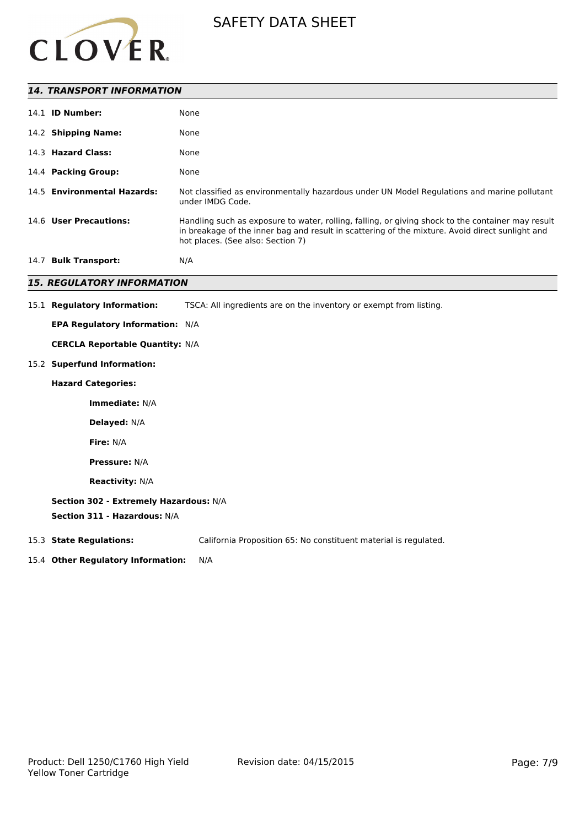

| <b>14. TRANSPORT INFORMATION</b>   |                                                                                                                                                                                                                                           |  |  |  |  |
|------------------------------------|-------------------------------------------------------------------------------------------------------------------------------------------------------------------------------------------------------------------------------------------|--|--|--|--|
| 14.1 <b>ID Number:</b>             | None                                                                                                                                                                                                                                      |  |  |  |  |
| 14.2 Shipping Name:                | None                                                                                                                                                                                                                                      |  |  |  |  |
| 14.3 Hazard Class:                 | None                                                                                                                                                                                                                                      |  |  |  |  |
| 14.4 Packing Group:                | None                                                                                                                                                                                                                                      |  |  |  |  |
| 14.5 Environmental Hazards:        | Not classified as environmentally hazardous under UN Model Regulations and marine pollutant<br>under IMDG Code.                                                                                                                           |  |  |  |  |
| 14.6 User Precautions:             | Handling such as exposure to water, rolling, falling, or giving shock to the container may result<br>in breakage of the inner bag and result in scattering of the mixture. Avoid direct sunlight and<br>hot places. (See also: Section 7) |  |  |  |  |
| 14.7 Bulk Transport:               | N/A                                                                                                                                                                                                                                       |  |  |  |  |
| <b>15. REGULATORY INFORMATION</b>  |                                                                                                                                                                                                                                           |  |  |  |  |
| 15.1 Regulatory Information:       | TSCA: All ingredients are on the inventory or exempt from listing.                                                                                                                                                                        |  |  |  |  |
|                                    | <b>EPA Regulatory Information: N/A</b>                                                                                                                                                                                                    |  |  |  |  |
|                                    | <b>CERCLA Reportable Quantity: N/A</b>                                                                                                                                                                                                    |  |  |  |  |
| 15.2 Superfund Information:        |                                                                                                                                                                                                                                           |  |  |  |  |
| <b>Hazard Categories:</b>          |                                                                                                                                                                                                                                           |  |  |  |  |
| Immediate: N/A                     |                                                                                                                                                                                                                                           |  |  |  |  |
| Delayed: N/A                       |                                                                                                                                                                                                                                           |  |  |  |  |
| Fire: N/A                          |                                                                                                                                                                                                                                           |  |  |  |  |
| <b>Pressure: N/A</b>               |                                                                                                                                                                                                                                           |  |  |  |  |
| <b>Reactivity: N/A</b>             |                                                                                                                                                                                                                                           |  |  |  |  |
|                                    | Section 302 - Extremely Hazardous: N/A<br>Section 311 - Hazardous: N/A                                                                                                                                                                    |  |  |  |  |
| 15.3 State Regulations:            | California Proposition 65: No constituent material is regulated.                                                                                                                                                                          |  |  |  |  |
| 15.4 Other Regulatory Information: | N/A                                                                                                                                                                                                                                       |  |  |  |  |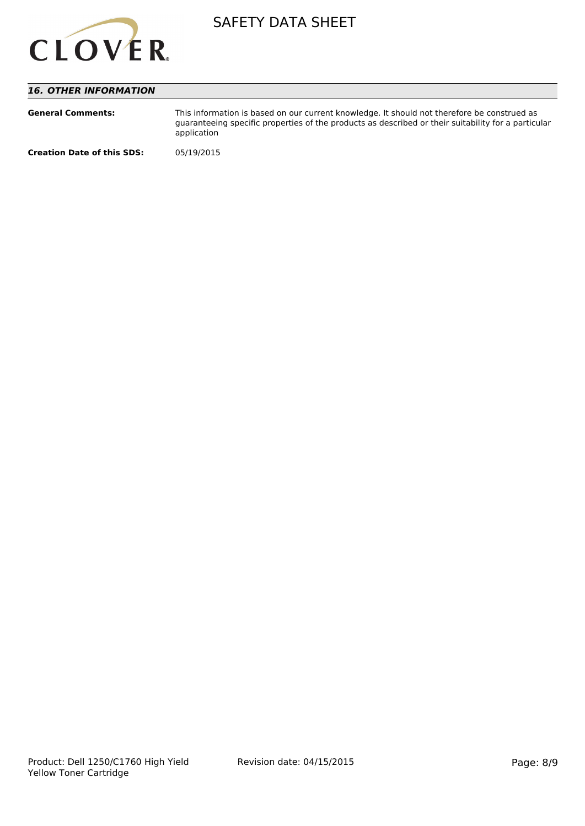

# *16. OTHER INFORMATION*

| <b>General Comments:</b>          | This information is based on our current knowledge. It should not therefore be construed as<br>quaranteeing specific properties of the products as described or their suitability for a particular<br>application |
|-----------------------------------|-------------------------------------------------------------------------------------------------------------------------------------------------------------------------------------------------------------------|
| <b>Creation Date of this SDS:</b> | 05/19/2015                                                                                                                                                                                                        |